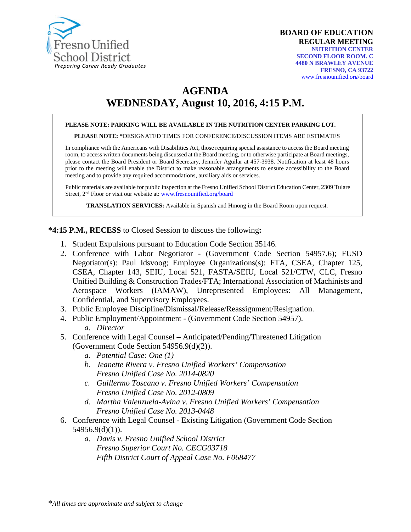

# **AGENDA WEDNESDAY, August 10, 2016, 4:15 P.M.**

#### **PLEASE NOTE: PARKING WILL BE AVAILABLE IN THE NUTRITION CENTER PARKING LOT.**

**PLEASE NOTE: \***DESIGNATED TIMES FOR CONFERENCE/DISCUSSION ITEMS ARE ESTIMATES

In compliance with the Americans with Disabilities Act, those requiring special assistance to access the Board meeting room, to access written documents being discussed at the Board meeting, or to otherwise participate at Board meetings, please contact the Board President or Board Secretary, Jennifer Aguilar at 457-3938. Notification at least 48 hours prior to the meeting will enable the District to make reasonable arrangements to ensure accessibility to the Board meeting and to provide any required accommodations, auxiliary aids or services.

Public materials are available for public inspection at the Fresno Unified School District Education Center, 2309 Tulare Street, 2nd Floor or visit our website at: [www.fresnounified.org/board](http://www.fresnounified.org/board)

**TRANSLATION SERVICES:** Available in Spanish and Hmong in the Board Room upon request.

**\*4:15 P.M., RECESS** to Closed Session to discuss the following**:**

- 1. Student Expulsions pursuant to Education Code Section 35146.
- 2. Conference with Labor Negotiator (Government Code Section 54957.6); FUSD Negotiator(s): Paul Idsvoog; Employee Organizations(s): FTA, CSEA, Chapter 125, CSEA, Chapter 143, SEIU, Local 521, FASTA/SEIU, Local 521/CTW, CLC, Fresno Unified Building & Construction Trades/FTA; International Association of Machinists and Aerospace Workers (IAMAW), Unrepresented Employees: All Management, Confidential, and Supervisory Employees.
- 3. Public Employee Discipline/Dismissal/Release/Reassignment/Resignation.
- 4. Public Employment/Appointment (Government Code Section 54957). *a. Director*
- 5. Conference with Legal Counsel **–** Anticipated/Pending/Threatened Litigation (Government Code Section 54956.9(d)(2)).
	- *a. Potential Case: One (1)*
	- *b. Jeanette Rivera v. Fresno Unified Workers' Compensation Fresno Unified Case No. 2014-0820*
	- *c. Guillermo Toscano v. Fresno Unified Workers' Compensation Fresno Unified Case No. 2012-0809*
	- *d. Martha Valenzuela-Avina v. Fresno Unified Workers' Compensation Fresno Unified Case No. 2013-0448*
- 6. Conference with Legal Counsel Existing Litigation (Government Code Section 54956.9(d)(1)).
	- *a. Davis v. Fresno Unified School District Fresno Superior Court No. CECG03718 Fifth District Court of Appeal Case No. F068477*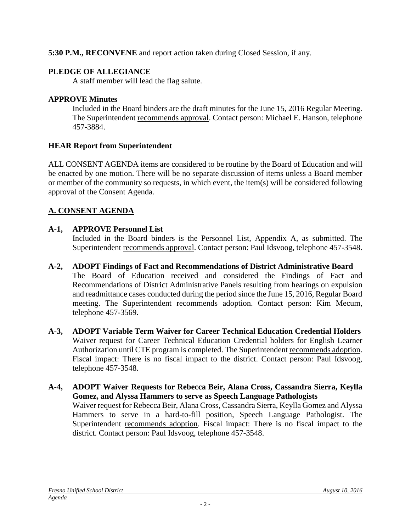**5:30 P.M., RECONVENE** and report action taken during Closed Session, if any.

### **PLEDGE OF ALLEGIANCE**

A staff member will lead the flag salute.

### **APPROVE Minutes**

Included in the Board binders are the draft minutes for the June 15, 2016 Regular Meeting. The Superintendent recommends approval. Contact person: Michael E. Hanson, telephone 457-3884.

### **HEAR Report from Superintendent**

ALL CONSENT AGENDA items are considered to be routine by the Board of Education and will be enacted by one motion. There will be no separate discussion of items unless a Board member or member of the community so requests, in which event, the item(s) will be considered following approval of the Consent Agenda.

### **A. CONSENT AGENDA**

### **A-1, APPROVE Personnel List**

Included in the Board binders is the Personnel List, Appendix A, as submitted. The Superintendent recommends approval. Contact person: Paul Idsvoog, telephone 457-3548.

### **A-2, ADOPT Findings of Fact and Recommendations of District Administrative Board**

The Board of Education received and considered the Findings of Fact and Recommendations of District Administrative Panels resulting from hearings on expulsion and readmittance cases conducted during the period since the June 15, 2016, Regular Board meeting. The Superintendent recommends adoption. Contact person: Kim Mecum, telephone 457-3569.

- **A-3, ADOPT Variable Term Waiver for Career Technical Education Credential Holders** Waiver request for Career Technical Education Credential holders for English Learner Authorization until CTE program is completed. The Superintendent recommends adoption. Fiscal impact: There is no fiscal impact to the district. Contact person: Paul Idsvoog, telephone 457-3548.
- **A-4, ADOPT Waiver Requests for Rebecca Beir, Alana Cross, Cassandra Sierra, Keylla Gomez, and Alyssa Hammers to serve as Speech Language Pathologists** Waiver request for Rebecca Beir, Alana Cross, Cassandra Sierra, Keylla Gomez and Alyssa Hammers to serve in a hard-to-fill position, Speech Language Pathologist. The Superintendent recommends adoption. Fiscal impact: There is no fiscal impact to the district. Contact person: Paul Idsvoog, telephone 457-3548.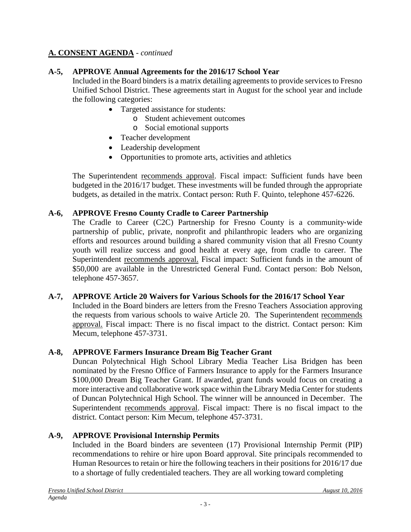### **A-5, APPROVE Annual Agreements for the 2016/17 School Year**

Included in the Board binders is a matrix detailing agreements to provide services to Fresno Unified School District. These agreements start in August for the school year and include the following categories:

- Targeted assistance for students:
	- o Student achievement outcomes
	- o Social emotional supports
- Teacher development
- Leadership development
- Opportunities to promote arts, activities and athletics

The Superintendent recommends approval. Fiscal impact: Sufficient funds have been budgeted in the 2016/17 budget. These investments will be funded through the appropriate budgets, as detailed in the matrix. Contact person: Ruth F. Quinto, telephone 457-6226.

#### **A-6, APPROVE Fresno County Cradle to Career Partnership**

The Cradle to Career (C2C) Partnership for Fresno County is a community-wide partnership of public, private, nonprofit and philanthropic leaders who are organizing efforts and resources around building a shared community vision that all Fresno County youth will realize success and good health at every age, from cradle to career. The Superintendent recommends approval. Fiscal impact: Sufficient funds in the amount of \$50,000 are available in the Unrestricted General Fund. Contact person: Bob Nelson, telephone 457-3657.

#### **A-7, APPROVE Article 20 Waivers for Various Schools for the 2016/17 School Year**

Included in the Board binders are letters from the Fresno Teachers Association approving the requests from various schools to waive Article 20. The Superintendent recommends approval. Fiscal impact: There is no fiscal impact to the district. Contact person: Kim Mecum, telephone 457-3731.

### **A-8, APPROVE Farmers Insurance Dream Big Teacher Grant**

Duncan Polytechnical High School Library Media Teacher Lisa Bridgen has been nominated by the Fresno Office of Farmers Insurance to apply for the Farmers Insurance \$100,000 Dream Big Teacher Grant. If awarded, grant funds would focus on creating a more interactive and collaborative work space within the Library Media Center for students of Duncan Polytechnical High School. The winner will be announced in December. The Superintendent recommends approval. Fiscal impact: There is no fiscal impact to the district. Contact person: Kim Mecum, telephone 457-3731.

### **A-9, APPROVE Provisional Internship Permits**

Included in the Board binders are seventeen (17) Provisional Internship Permit (PIP) recommendations to rehire or hire upon Board approval. Site principals recommended to Human Resources to retain or hire the following teachers in their positions for 2016/17 due to a shortage of fully credentialed teachers. They are all working toward completing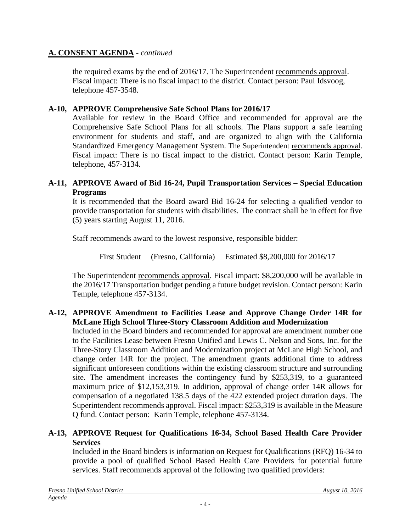the required exams by the end of 2016/17. The Superintendent recommends approval. Fiscal impact: There is no fiscal impact to the district. Contact person: Paul Idsvoog, telephone 457-3548.

#### **A-10, APPROVE Comprehensive Safe School Plans for 2016/17**

Available for review in the Board Office and recommended for approval are the Comprehensive Safe School Plans for all schools. The Plans support a safe learning environment for students and staff, and are organized to align with the California Standardized Emergency Management System. The Superintendent recommends approval. Fiscal impact: There is no fiscal impact to the district. Contact person: Karin Temple, telephone, 457-3134.

#### **A-11, APPROVE Award of Bid 16-24, Pupil Transportation Services – Special Education Programs**

It is recommended that the Board award Bid 16-24 for selecting a qualified vendor to provide transportation for students with disabilities. The contract shall be in effect for five (5) years starting August 11, 2016.

Staff recommends award to the lowest responsive, responsible bidder:

First Student (Fresno, California) Estimated \$8,200,000 for 2016/17

The Superintendent recommends approval. Fiscal impact: \$8,200,000 will be available in the 2016/17 Transportation budget pending a future budget revision. Contact person: Karin Temple, telephone 457-3134.

#### **A-12, APPROVE Amendment to Facilities Lease and Approve Change Order 14R for McLane High School Three-Story Classroom Addition and Modernization**

Included in the Board binders and recommended for approval are amendment number one to the Facilities Lease between Fresno Unified and Lewis C. Nelson and Sons, Inc. for the Three-Story Classroom Addition and Modernization project at McLane High School, and change order 14R for the project. The amendment grants additional time to address significant unforeseen conditions within the existing classroom structure and surrounding site. The amendment increases the contingency fund by \$253,319, to a guaranteed maximum price of \$12,153,319. In addition, approval of change order 14R allows for compensation of a negotiated 138.5 days of the 422 extended project duration days. The Superintendent recommends approval. Fiscal impact: \$253,319 is available in the Measure Q fund. Contact person: Karin Temple, telephone 457-3134.

### **A-13, APPROVE Request for Qualifications 16-34, School Based Health Care Provider Services**

Included in the Board binders is information on Request for Qualifications (RFQ) 16-34 to provide a pool of qualified School Based Health Care Providers for potential future services. Staff recommends approval of the following two qualified providers: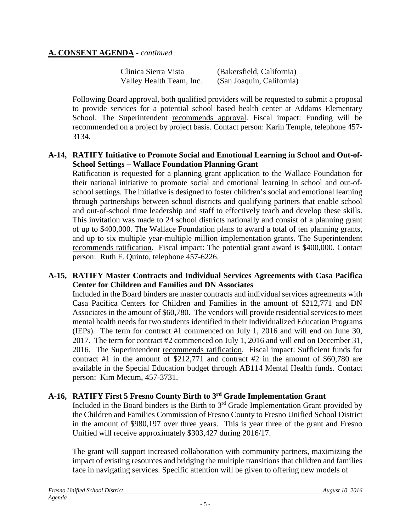| Clinica Sierra Vista     | (Bakersfield, California) |
|--------------------------|---------------------------|
| Valley Health Team, Inc. | (San Joaquin, California) |

Following Board approval, both qualified providers will be requested to submit a proposal to provide services for a potential school based health center at Addams Elementary School. The Superintendent recommends approval. Fiscal impact: Funding will be recommended on a project by project basis. Contact person: Karin Temple, telephone 457- 3134.

#### **A-14, RATIFY Initiative to Promote Social and Emotional Learning in School and Out-of-School Settings – Wallace Foundation Planning Grant**

Ratification is requested for a planning grant application to the Wallace Foundation for their national initiative to promote social and emotional learning in school and out-ofschool settings. The initiative is designed to foster children's social and emotional learning through partnerships between school districts and qualifying partners that enable school and out-of-school time leadership and staff to effectively teach and develop these skills. This invitation was made to 24 school districts nationally and consist of a planning grant of up to \$400,000. The Wallace Foundation plans to award a total of ten planning grants, and up to six multiple year-multiple million implementation grants. The Superintendent recommends ratification. Fiscal impact: The potential grant award is \$400,000. Contact person: Ruth F. Quinto, telephone 457-6226.

#### **A-15, RATIFY Master Contracts and Individual Services Agreements with Casa Pacifica Center for Children and Families and DN Associates**

Included in the Board binders are master contracts and individual services agreements with Casa Pacifica Centers for Children and Families in the amount of \$212,771 and DN Associates in the amount of \$60,780. The vendors will provide residential services to meet mental health needs for two students identified in their Individualized Education Programs (IEPs). The term for contract #1 commenced on July 1, 2016 and will end on June 30, 2017. The term for contract #2 commenced on July 1, 2016 and will end on December 31, 2016. The Superintendent recommends ratification. Fiscal impact: Sufficient funds for contract #1 in the amount of  $$212,771$  and contract #2 in the amount of \$60,780 are available in the Special Education budget through AB114 Mental Health funds. Contact person: Kim Mecum, 457-3731.

### **A-16, RATIFY First 5 Fresno County Birth to 3rd Grade Implementation Grant**

Included in the Board binders is the Birth to  $3<sup>rd</sup>$  Grade Implementation Grant provided by the Children and Families Commission of Fresno County to Fresno Unified School District in the amount of \$980,197 over three years. This is year three of the grant and Fresno Unified will receive approximately \$303,427 during 2016/17.

The grant will support increased collaboration with community partners, maximizing the impact of existing resources and bridging the multiple transitions that children and families face in navigating services. Specific attention will be given to offering new models of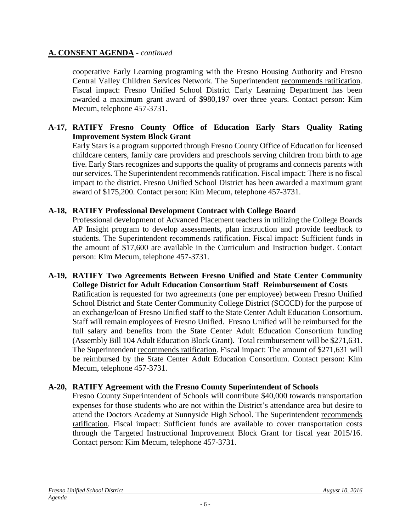cooperative Early Learning programing with the Fresno Housing Authority and Fresno Central Valley Children Services Network. The Superintendent recommends ratification. Fiscal impact: Fresno Unified School District Early Learning Department has been awarded a maximum grant award of \$980,197 over three years. Contact person: Kim Mecum, telephone 457-3731.

#### **A-17, RATIFY Fresno County Office of Education Early Stars Quality Rating Improvement System Block Grant**

Early Stars is a program supported through Fresno County Office of Education for licensed childcare centers, family care providers and preschools serving children from birth to age five. Early Stars recognizes and supports the quality of programs and connects parents with our services. The Superintendent recommends ratification. Fiscal impact: There is no fiscal impact to the district. Fresno Unified School District has been awarded a maximum grant award of \$175,200. Contact person: Kim Mecum, telephone 457-3731.

#### **A-18, RATIFY Professional Development Contract with College Board**

Professional development of Advanced Placement teachers in utilizing the College Boards AP Insight program to develop assessments, plan instruction and provide feedback to students. The Superintendent recommends ratification. Fiscal impact: Sufficient funds in the amount of \$17,600 are available in the Curriculum and Instruction budget. Contact person: Kim Mecum, telephone 457-3731.

#### **A-19, RATIFY Two Agreements Between Fresno Unified and State Center Community College District for Adult Education Consortium Staff Reimbursement of Costs** Ratification is requested for two agreements (one per employee) between Fresno Unified School District and State Center Community College District (SCCCD) for the purpose of an exchange/loan of Fresno Unified staff to the State Center Adult Education Consortium. Staff will remain employees of Fresno Unified. Fresno Unified will be reimbursed for the full salary and benefits from the State Center Adult Education Consortium funding (Assembly Bill 104 Adult Education Block Grant). Total reimbursement will be \$271,631. The Superintendent recommends ratification. Fiscal impact: The amount of \$271,631 will be reimbursed by the State Center Adult Education Consortium. Contact person: Kim Mecum, telephone 457-3731.

#### **A-20, RATIFY Agreement with the Fresno County Superintendent of Schools**

Fresno County Superintendent of Schools will contribute \$40,000 towards transportation expenses for those students who are not within the District's attendance area but desire to attend the Doctors Academy at Sunnyside High School. The Superintendent recommends ratification. Fiscal impact: Sufficient funds are available to cover transportation costs through the Targeted Instructional Improvement Block Grant for fiscal year 2015/16. Contact person: Kim Mecum, telephone 457-3731.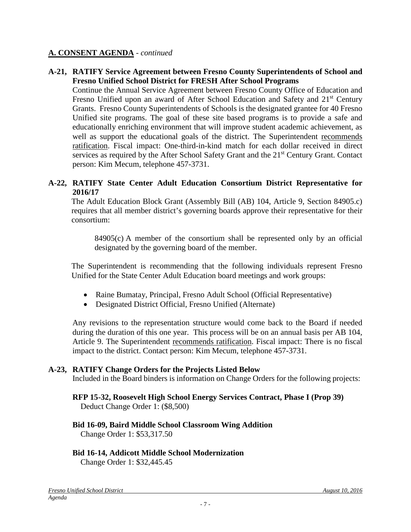#### **A-21, RATIFY Service Agreement between Fresno County Superintendents of School and Fresno Unified School District for FRESH After School Programs**

Continue the Annual Service Agreement between Fresno County Office of Education and Fresno Unified upon an award of After School Education and Safety and 21<sup>st</sup> Century Grants. Fresno County Superintendents of Schools is the designated grantee for 40 Fresno Unified site programs. The goal of these site based programs is to provide a safe and educationally enriching environment that will improve student academic achievement, as well as support the educational goals of the district. The Superintendent recommends ratification. Fiscal impact: One-third-in-kind match for each dollar received in direct services as required by the After School Safety Grant and the 21<sup>st</sup> Century Grant. Contact person: Kim Mecum, telephone 457-3731.

#### **A-22, RATIFY State Center Adult Education Consortium District Representative for 2016/17**

The Adult Education Block Grant (Assembly Bill (AB) 104, Article 9, Section 84905.c) requires that all member district's governing boards approve their representative for their consortium:

84905(c) A member of the consortium shall be represented only by an official designated by the governing board of the member.

The Superintendent is recommending that the following individuals represent Fresno Unified for the State Center Adult Education board meetings and work groups:

- Raine Bumatay, Principal, Fresno Adult School (Official Representative)
- Designated District Official, Fresno Unified (Alternate)

Any revisions to the representation structure would come back to the Board if needed during the duration of this one year. This process will be on an annual basis per AB 104, Article 9. The Superintendent recommends ratification. Fiscal impact: There is no fiscal impact to the district. Contact person: Kim Mecum, telephone 457-3731.

#### **A-23, RATIFY Change Orders for the Projects Listed Below**

Included in the Board binders is information on Change Orders for the following projects:

### **RFP 15-32, Roosevelt High School Energy Services Contract, Phase I (Prop 39)**

Deduct Change Order 1: (\$8,500)

### **Bid 16-09, Baird Middle School Classroom Wing Addition**

Change Order 1: \$53,317.50

### **Bid 16-14, Addicott Middle School Modernization**

Change Order 1: \$32,445.45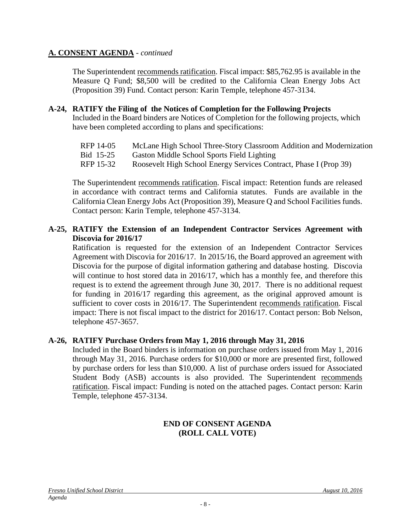The Superintendent recommends ratification. Fiscal impact: \$85,762.95 is available in the Measure Q Fund; \$8,500 will be credited to the California Clean Energy Jobs Act (Proposition 39) Fund. Contact person: Karin Temple, telephone 457-3134.

- **A-24, RATIFY the Filing of the Notices of Completion for the Following Projects** Included in the Board binders are Notices of Completion for the following projects, which have been completed according to plans and specifications:
	- RFP 14-05 McLane High School Three-Story Classroom Addition and Modernization
	- Bid 15-25 Gaston Middle School Sports Field Lighting
	- RFP 15-32 Roosevelt High School Energy Services Contract, Phase I (Prop 39)

The Superintendent recommends ratification. Fiscal impact: Retention funds are released in accordance with contract terms and California statutes. Funds are available in the California Clean Energy Jobs Act (Proposition 39), Measure Q and School Facilities funds. Contact person: Karin Temple, telephone 457-3134.

#### **A-25, RATIFY the Extension of an Independent Contractor Services Agreement with Discovia for 2016/17**

Ratification is requested for the extension of an Independent Contractor Services Agreement with Discovia for 2016/17. In 2015/16, the Board approved an agreement with Discovia for the purpose of digital information gathering and database hosting. Discovia will continue to host stored data in 2016/17, which has a monthly fee, and therefore this request is to extend the agreement through June 30, 2017. There is no additional request for funding in 2016/17 regarding this agreement, as the original approved amount is sufficient to cover costs in 2016/17. The Superintendent recommends ratification. Fiscal impact: There is not fiscal impact to the district for 2016/17. Contact person: Bob Nelson, telephone 457-3657.

#### **A-26, RATIFY Purchase Orders from May 1, 2016 through May 31, 2016**

Included in the Board binders is information on purchase orders issued from May 1, 2016 through May 31, 2016. Purchase orders for \$10,000 or more are presented first, followed by purchase orders for less than \$10,000. A list of purchase orders issued for Associated Student Body (ASB) accounts is also provided. The Superintendent recommends ratification. Fiscal impact: Funding is noted on the attached pages. Contact person: Karin Temple, telephone 457-3134.

#### **END OF CONSENT AGENDA (ROLL CALL VOTE)**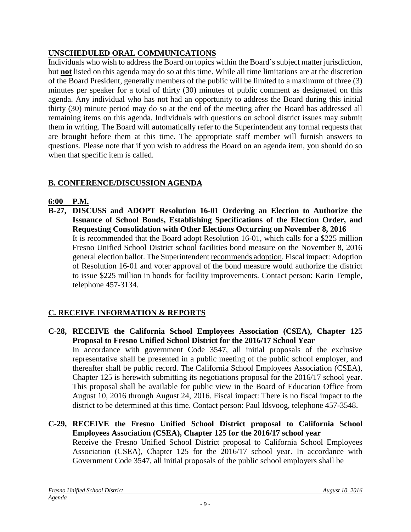### **UNSCHEDULED ORAL COMMUNICATIONS**

Individuals who wish to address the Board on topics within the Board's subject matter jurisdiction, but **not** listed on this agenda may do so at this time. While all time limitations are at the discretion of the Board President, generally members of the public will be limited to a maximum of three (3) minutes per speaker for a total of thirty (30) minutes of public comment as designated on this agenda. Any individual who has not had an opportunity to address the Board during this initial thirty (30) minute period may do so at the end of the meeting after the Board has addressed all remaining items on this agenda. Individuals with questions on school district issues may submit them in writing. The Board will automatically refer to the Superintendent any formal requests that are brought before them at this time. The appropriate staff member will furnish answers to questions. Please note that if you wish to address the Board on an agenda item, you should do so when that specific item is called.

## **B. CONFERENCE/DISCUSSION AGENDA**

### **6:00 P.M.**

**B-27, DISCUSS and ADOPT Resolution 16-01 Ordering an Election to Authorize the Issuance of School Bonds, Establishing Specifications of the Election Order, and Requesting Consolidation with Other Elections Occurring on November 8, 2016** It is recommended that the Board adopt Resolution 16-01, which calls for a \$225 million Fresno Unified School District school facilities bond measure on the November 8, 2016 general election ballot. The Superintendent recommends adoption. Fiscal impact: Adoption of Resolution 16-01 and voter approval of the bond measure would authorize the district to issue \$225 million in bonds for facility improvements. Contact person: Karin Temple, telephone 457-3134.

## **C. RECEIVE INFORMATION & REPORTS**

- **C-28, RECEIVE the California School Employees Association (CSEA), Chapter 125 Proposal to Fresno Unified School District for the 2016/17 School Year** In accordance with government Code 3547, all initial proposals of the exclusive representative shall be presented in a public meeting of the public school employer, and thereafter shall be public record. The California School Employees Association (CSEA), Chapter 125 is herewith submitting its negotiations proposal for the 2016/17 school year. This proposal shall be available for public view in the Board of Education Office from August 10, 2016 through August 24, 2016. Fiscal impact: There is no fiscal impact to the district to be determined at this time. Contact person: Paul Idsvoog, telephone 457-3548.
- **C-29, RECEIVE the Fresno Unified School District proposal to California School Employees Association (CSEA), Chapter 125 for the 2016/17 school year** Receive the Fresno Unified School District proposal to California School Employees Association (CSEA), Chapter 125 for the 2016/17 school year. In accordance with Government Code 3547, all initial proposals of the public school employers shall be